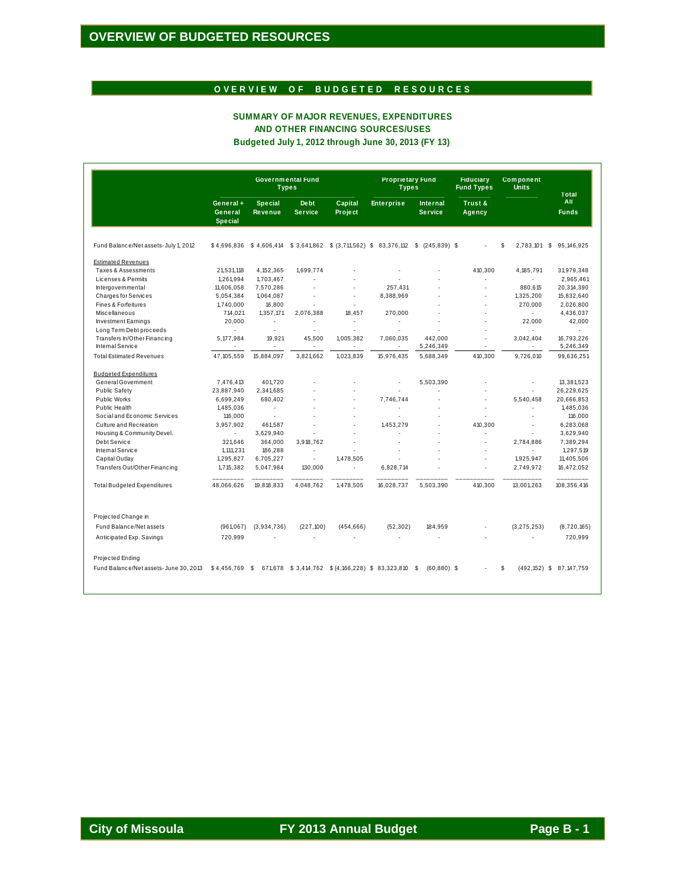#### OVERVIEW OF BUDGETED RESOURCES

#### SUMMARY OF MAJOR REVENUES, EXPENDITURES AND OTHER FINANCING SOURCES/USES Budgeted July 1, 2012 through June 30, 2013 (FY 13)

|                                                  | Governmental Fund<br><b>Types</b>      |                                  |                         |                                                | <b>Proprietary Fund</b><br><b>Types</b> |                                   | <b>Fiduciary</b><br><b>Fund Types</b> | <b>Component</b><br><b>Units</b> | <b>Total</b>               |
|--------------------------------------------------|----------------------------------------|----------------------------------|-------------------------|------------------------------------------------|-----------------------------------------|-----------------------------------|---------------------------------------|----------------------------------|----------------------------|
|                                                  | General +<br>General<br><b>Special</b> | <b>Special</b><br><b>Revenue</b> | De bt<br><b>Service</b> | Capital<br>Project                             | <b>Enterprise</b>                       | <b>Internal</b><br><b>Service</b> | Trust &<br>Agency                     |                                  | All<br><b>Funds</b>        |
| Fund Balance/Net assets- July 1, 2012            | \$4,696,836                            | \$4,606,414                      |                         | $$3,641,862$ $$ (3,711,562)$ \$                | 83,376,112                              | s.<br>$(245, 839)$ \$             |                                       | s<br>2,783,101 \$                | 95, 146, 925               |
| <b>Estimated Revenues</b>                        |                                        |                                  |                         |                                                |                                         |                                   |                                       |                                  |                            |
| Taxes & Assessments                              | 21,531,118                             | 4, 152, 365                      | 1,699,774               |                                                |                                         |                                   | 410,300                               | 4, 185, 791                      | 31,979,348                 |
| Licenses & Permits                               | 1,261,994                              | 1,703,467                        |                         |                                                |                                         |                                   | ÷.                                    | $\sim$                           | 2,965,461                  |
| Intergovernmental                                | 11,606,058                             | 7,570,286                        |                         | J.                                             | 257,431                                 |                                   |                                       | 880,615                          | 20,314,390                 |
| <b>Charges for Services</b>                      | 5,054,384                              | 1,064,087                        |                         | ×.                                             | 8,388,969                               |                                   | ÷.                                    | 1,325,200                        | 15,832,640                 |
| Fines & Forfeitures                              | 1,740,000                              | 16,800                           |                         | ×.                                             |                                         |                                   | ×                                     | 270,000                          | 2,026,800                  |
| Miscellaneous                                    | 714,021                                | 1,357,171                        | 2,076,388               | 18,457                                         | 270,000                                 |                                   |                                       | ×.                               | 4,436,037                  |
| <b>Investment Earnings</b>                       | 20,000                                 | $\overline{\phantom{a}}$         |                         | ٠                                              |                                         |                                   | ÷.                                    | 22,000                           | 42,000                     |
| Long Term Debt proceeds                          |                                        | ÷                                |                         | ä,                                             |                                         |                                   |                                       |                                  |                            |
| Transfers In/Other Financing<br>Internal Service | 5,177,984                              | 19,921<br>×.                     | 45,500<br>×.            | 1,005,382<br>×.                                | 7,060,035                               | 442,000<br>5,246,349              | ×<br>$\sim$                           | 3,042,404                        | 16,793,226<br>5,246,349    |
| <b>Total Estimated Revenues</b>                  | 47, 105, 559                           | 15,884,097                       | 3,821,662               | 1,023,839                                      | 15,976,435                              | 5,688,349                         | 410,300                               | 9,726,010                        | 99,636,251                 |
| <b>Budgeted Expenditures</b>                     |                                        |                                  |                         |                                                |                                         |                                   |                                       |                                  |                            |
| General Government                               | 7.476.413                              | 401.720                          |                         |                                                |                                         | 5.503.390                         |                                       |                                  | 13.381.523                 |
| <b>Public Safetv</b>                             | 23.887.940                             | 2.341.685                        |                         |                                                |                                         |                                   |                                       | ×,                               | 26.229.625                 |
| Public Works                                     | 6.699.249                              | 680.402                          |                         |                                                | 7.746.744                               |                                   |                                       | 5.540.458                        | 20,666,853                 |
| Public Health                                    | 1,485,036                              | ٠                                |                         | ä                                              |                                         |                                   |                                       |                                  | 1,485,036                  |
| Social and Economic Services                     | 116,000                                | ÷.                               |                         | ä,                                             | ä,                                      |                                   | ÷.                                    |                                  | 116,000                    |
| Culture and Recreation                           | 3.957.902                              | 461.587                          |                         |                                                | 1.453.279                               |                                   | 410.300                               | ×.                               | 6,283,068                  |
| Housing & Community Devel.                       | ÷.                                     | 3,629,940                        |                         |                                                |                                         |                                   |                                       |                                  | 3,629,940                  |
| Debt Service                                     | 321.646                                | 364,000                          | 3,918,762               |                                                |                                         |                                   |                                       | 2,784,886                        | 7,389,294                  |
| Internal Service                                 | 1, 111, 231                            | 186,288                          |                         |                                                |                                         |                                   |                                       | ÷                                | 1,297,519                  |
| Capital Outlav                                   | 1,295,827                              | 6,705,227                        | ×.                      | 1.478.505                                      |                                         |                                   |                                       | 1.925.947                        | 11,405,506                 |
| Transfers Out/Other Financing                    | 1,715,382                              | 5,047,984                        | 130,000                 | ä,                                             | 6,828,714                               |                                   |                                       | 2,749,972                        | 16,472,052                 |
| <b>Total Budgeted Expenditures</b>               | 48,066,626                             | 19,818,833                       | 4,048,762               | 1,478,505                                      | 16,028,737                              | 5,503,390                         | 410,300                               | 13,001,263                       | 108,356,416                |
| Projected Change in                              |                                        |                                  |                         |                                                |                                         |                                   |                                       |                                  |                            |
|                                                  |                                        |                                  |                         |                                                |                                         |                                   |                                       |                                  |                            |
| Fund Balance/Net assets                          | (961,067)                              | (3,934,736)                      | (227, 100)              | (454, 666)                                     | (52, 302)                               | 184.959                           |                                       | (3, 275, 253)                    | (8,720,165)                |
| Anticipated Exp. Savings                         | 720,999                                | ä,                               |                         | ä,                                             |                                         | ä,                                |                                       |                                  | 720,999                    |
| Projected Ending                                 |                                        |                                  |                         |                                                |                                         |                                   |                                       |                                  |                            |
| Fund Balance/Net assets-June 30, 2013            | \$4,456,769                            | - \$                             |                         | 671,678 \$3,414,762 \$(4,166,228) \$83,323,810 |                                         | $(60.880)$ \$<br>-S               |                                       | S                                | (492, 152) \$ 87, 147, 759 |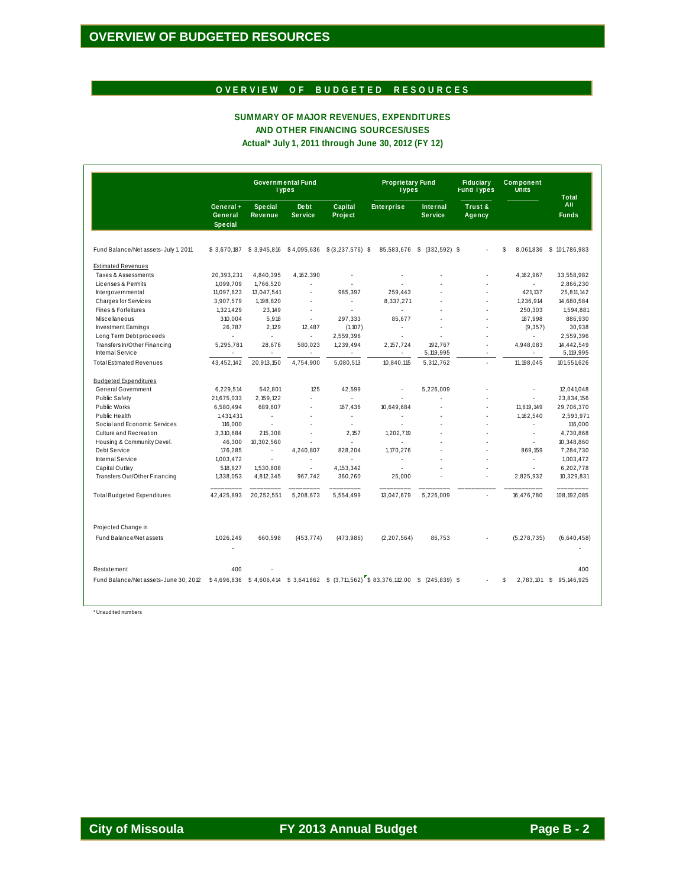# OVERVIEW OF BUDGETED RESOURCES

### SUMMARY OF MAJOR REVENUES, EXPENDITURES AND OTHER FINANCING SOURCES/USES Actual\* July 1, 2011 through June 30, 2012 (FY 12)

|                                       |                                        |                                  | <b>Governmental Fund</b><br><b>Types</b> |                                                                                         | <b>Proprietary Fund</b><br><b>Types</b> |                                   | <b>Fiduciary</b><br><b>Fund Types</b> | <b>Component</b><br>Units | Total                   |
|---------------------------------------|----------------------------------------|----------------------------------|------------------------------------------|-----------------------------------------------------------------------------------------|-----------------------------------------|-----------------------------------|---------------------------------------|---------------------------|-------------------------|
|                                       | General +<br>General<br><b>Special</b> | <b>Special</b><br><b>Revenue</b> | <b>Debt</b><br><b>Service</b>            | Capital<br>Project                                                                      | <b>Enterprise</b>                       | <b>Internal</b><br><b>Service</b> | Trust &<br>Agency                     |                           | All<br><b>Funds</b>     |
| Fund Balance/Net assets- July 1, 2011 |                                        |                                  |                                          | \$3,670,187 \$3,945,816 \$4,095,636 \$(3,237,576) \$                                    | 85,583,676                              | \$ (332,592) \$                   |                                       | \$<br>8,061,836           | \$101,786,983           |
| <b>Estimated Revenues</b>             |                                        |                                  |                                          |                                                                                         |                                         |                                   |                                       |                           |                         |
| Taxes & Assessments                   | 20,393,231                             | 4,840,395                        | 4,162,390                                |                                                                                         |                                         |                                   | ł,                                    | 4, 162, 967               | 33,558,982              |
| Licenses & Permits                    | 1,099,709                              | 1,766,520                        |                                          |                                                                                         |                                         |                                   | ä,                                    | ÷                         | 2,866,230               |
| Intergovernmental                     | 11,097,623                             | 13,047,541                       | ×,                                       | 985.397                                                                                 | 259.443                                 |                                   | ä,                                    | 421.137                   | 25,811,142              |
| <b>Charges for Services</b>           | 3,907,579                              | 1,198,820                        |                                          | ä,                                                                                      | 8,337,271                               |                                   |                                       | 1,236,914                 | 14,680,584              |
| <b>Fines &amp; Forfeitures</b>        | 1,321,429                              | 23,149                           | ×,                                       |                                                                                         | ÷.                                      |                                   | ä,                                    | 250,303                   | 1,594,881               |
| Miscellaneous                         | 310,004                                | 5,918                            | $\blacksquare$                           | 297,333                                                                                 | 85,677                                  |                                   | ł,                                    | 187,998                   | 886,930                 |
| <b>Investment Earnings</b>            | 26,787                                 | 2,129                            | 12,487                                   | (1, 107)                                                                                | $\mathbf{r}$                            |                                   | ä,                                    | (9, 357)                  | 30,938                  |
| Long Term Debt proceeds               | ä,                                     | ä,                               | ä,                                       | 2,559,396                                                                               | ÷.                                      |                                   |                                       |                           | 2,559,396               |
| Transfers In/Other Financing          | 5,295,781                              | 28,676                           | 580,023                                  | 1,239,494                                                                               | 2, 157, 724                             | 192.767                           |                                       | 4,948,083                 | 14,442,549              |
| Internal Service                      |                                        |                                  |                                          |                                                                                         |                                         | 5,119,995                         |                                       |                           | 5,119,995               |
| <b>Total Estimated Revenues</b>       | 43,452,142                             | 20,913,150                       | 4,754,900                                | 5,080,513                                                                               | 10,840,115                              | 5,312,762                         |                                       | 11, 198, 045              | 101,551,626             |
| <b>Budgeted Expenditures</b>          |                                        |                                  |                                          |                                                                                         |                                         |                                   |                                       |                           |                         |
| <b>General Government</b>             | 6,229,514                              | 542,801                          | 125                                      | 42,599                                                                                  | ä,                                      | 5,226,009                         |                                       |                           | 12,041,048              |
| <b>Public Safety</b>                  | 21,675,033                             | 2, 159, 122                      | ä,                                       |                                                                                         |                                         |                                   |                                       |                           | 23,834,156              |
| <b>Public Works</b>                   | 6,580,494                              | 689,607                          |                                          | 167.436                                                                                 | 10,649,684                              |                                   |                                       | 11,619,149                | 29,706,370              |
| Public Health                         | 1,431,431                              | ÷,                               | ä,                                       | ÷.                                                                                      |                                         |                                   | ä,                                    | 1.162.540                 | 2,593,971               |
| Social and Economic Services          | 116,000                                | ÷.                               |                                          | ÷.                                                                                      |                                         |                                   |                                       | ä,                        | 116,000                 |
| Culture and Recreation                | 3,310,684                              | 215,308                          | ä,                                       | 2,157                                                                                   | 1,202,719                               |                                   |                                       | ä,                        | 4,730,868               |
| Housing & Community Devel.            | 46,300                                 | 10,302,560                       |                                          | ÷                                                                                       |                                         |                                   |                                       | ä,                        | 10,348,860              |
| Debt Service                          | 176,285                                | ÷                                | 4,240,807                                | 828,204                                                                                 | 1,170,276                               |                                   |                                       | 869,159                   | 7,284,730               |
| Internal Service                      | 1,003,472                              | ÷.                               | ×,                                       | ÷                                                                                       | ÷                                       |                                   | ÷.                                    | ÷.                        | 1,003,472               |
| Capital Outlay                        | 518,627                                | 1,530,808                        | ÷                                        | 4, 153, 342                                                                             |                                         |                                   |                                       |                           | 6,202,778               |
| Transfers Out/Other Financing         | 1,338,053                              | 4,812,345                        | 967,742                                  | 360,760                                                                                 | 25,000                                  |                                   |                                       | 2,825,932                 | 10,329,831              |
| <b>Total Budgeted Expenditures</b>    | 42,425,893                             | 20,252,551                       | 5,208,673                                | 5,554,499                                                                               | 13,047,679                              | 5,226,009                         |                                       | 16,476,780                | 108, 192, 085           |
| Projected Change in                   |                                        |                                  |                                          |                                                                                         |                                         |                                   |                                       |                           |                         |
| Fund Balance/Net assets               | 1,026,249                              | 660,598                          | (453, 774)                               | (473,986)                                                                               | (2, 207, 564)                           | 86,753                            |                                       | (5, 278, 735)             | (6,640,458)             |
| Restatement                           | 400                                    |                                  |                                          |                                                                                         |                                         |                                   |                                       |                           | 400                     |
| Fund Balance/Net assets-June 30, 2012 |                                        |                                  |                                          | $$4,696,836$ $$4,606,414$ $$3,641,862$ $$(3,711,562)$ $$83,376,112.00$ $$(245,839)$ $$$ |                                         |                                   |                                       | \$                        | 2,783,101 \$ 95,146,925 |
|                                       |                                        |                                  |                                          |                                                                                         |                                         |                                   |                                       |                           |                         |

\* Unaudited numbers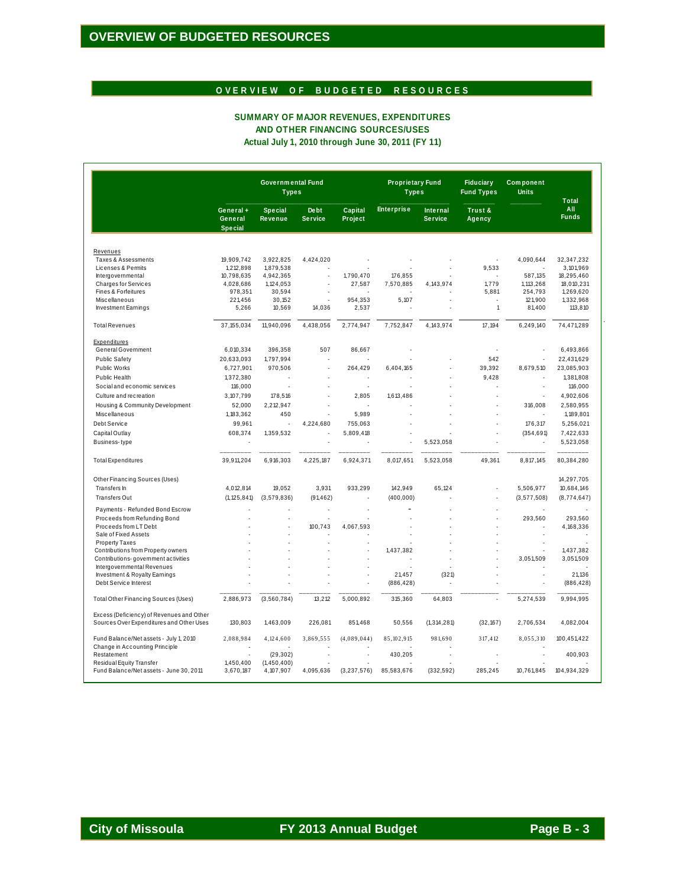# OVERVIEW OF BUDGETED RESOURCES

#### SUMMARY OF MAJOR REVENUES, EXPENDITURES AND OTHER FINANCING SOURCES/USES Actual July 1, 2010 through June 30, 2011 (FY 11)

|                                                                          | <b>Governmental Fund</b><br><b>Types</b> |                                  |                               |                           | <b>Proprietary Fund</b><br><b>Types</b> |                                   | <b>Fiduciary</b><br><b>Fund Types</b> | <b>Component</b><br><b>Units</b> | <b>Total</b>              |
|--------------------------------------------------------------------------|------------------------------------------|----------------------------------|-------------------------------|---------------------------|-----------------------------------------|-----------------------------------|---------------------------------------|----------------------------------|---------------------------|
|                                                                          | General+<br>General<br><b>Special</b>    | <b>Special</b><br><b>Revenue</b> | <b>Debt</b><br><b>Service</b> | <b>Capital</b><br>Project | <b>Enterprise</b>                       | <b>Internal</b><br><b>Service</b> | Trust &<br>Agency                     |                                  | All<br><b>Funds</b>       |
|                                                                          |                                          |                                  |                               |                           |                                         |                                   |                                       |                                  |                           |
| Revenues                                                                 |                                          |                                  |                               |                           |                                         |                                   |                                       |                                  |                           |
| <b>Taxes &amp; Assessments</b><br>Licenses & Permits                     | 19,909,742<br>1,212,898                  | 3,922,825<br>1,879,538           | 4,424,020                     | ä,                        |                                         |                                   | 9,533                                 | 4,090,644                        | 32, 347, 232<br>3,101,969 |
| Intergovernmental                                                        | 10,798,635                               | 4,942,365                        | ä,                            | 1,790,470                 | 176,855                                 |                                   |                                       | 587,135                          | 18,295,460                |
| <b>Charges for Services</b>                                              | 4,028,686                                | 1,124,053                        |                               | 27,587                    | 7,570,885                               | 4, 143, 974                       | 1,779                                 | 1,113,268                        | 18,010,231                |
| Fines & Forfeitures                                                      | 978,351                                  | 30,594                           |                               |                           |                                         |                                   | 5,881                                 | 254,793                          | 1,269,620                 |
| Miscellaneous                                                            | 221.456                                  | 30,152                           | ä,                            | 954,353                   | 5,107                                   |                                   |                                       | 121,900                          | 1,332,968                 |
| <b>Investment Earnings</b>                                               | 5,266                                    | 10,569                           | 14,036                        | 2,537                     |                                         |                                   | $\mathbf{1}$                          | 81,400                           | 113,810                   |
| <b>Total Revenues</b>                                                    | 37, 155, 034                             | 11,940,096                       | 4,438,056                     | 2,774,947                 | 7,752,847                               | 4,143,974                         | 17.194                                | 6,249,140                        | 74,471,289                |
|                                                                          |                                          |                                  |                               |                           |                                         |                                   |                                       |                                  |                           |
| Expenditures<br>General Government                                       | 6,010,334                                | 396,358                          | 507                           | 86,667                    |                                         |                                   |                                       |                                  | 6,493,866                 |
|                                                                          |                                          |                                  |                               |                           |                                         |                                   |                                       |                                  |                           |
| <b>Public Safety</b>                                                     | 20,633,093                               | 1,797,994                        |                               |                           |                                         |                                   | 542                                   | ×,                               | 22,431,629                |
| <b>Public Works</b>                                                      | 6,727,901                                | 970.506                          | J,                            | 264.429                   | 6.404.165                               |                                   | 39.392                                | 8.679.510                        | 23,085,903                |
| Public Health                                                            | 1,372,380                                |                                  |                               |                           |                                         |                                   | 9,428                                 |                                  | 1,381,808                 |
| Social and economic services                                             | 116,000                                  |                                  |                               | ÷.                        |                                         |                                   | L.                                    | ×.                               | 116,000                   |
| Culture and recreation                                                   | 3,107,799                                | 178,516                          |                               | 2,805                     | 1,613,486                               |                                   |                                       |                                  | 4,902,606                 |
| Housing & Community Development                                          | 52,000                                   | 2,212,947                        | L.                            |                           |                                         |                                   | ÷.                                    | 316,008                          | 2,580,955                 |
| Miscellaneous                                                            | 1,183,362                                | 450                              |                               | 5,989                     |                                         |                                   |                                       |                                  | 1,189,801                 |
|                                                                          |                                          |                                  |                               |                           |                                         |                                   | ä,                                    |                                  |                           |
| Debt Service                                                             | 99,961                                   |                                  | 4,224,680                     | 755,063                   |                                         |                                   |                                       | 176,317                          | 5,256,021                 |
| Capital Outlay                                                           | 608,374                                  | 1,359,532                        |                               | 5,809,418                 |                                         |                                   |                                       | (354, 691)                       | 7,422,633                 |
| Business-type                                                            |                                          |                                  |                               |                           |                                         | 5,523,058                         |                                       |                                  | 5,523,058                 |
| <b>Total Expenditures</b>                                                | 39,911,204                               | 6,916,303                        | 4,225,187                     | 6,924,371                 | 8,017,651                               | 5,523,058                         | 49,361                                | 8,817,145                        | 80,384,280                |
| Other Financing Sources (Uses)                                           |                                          |                                  |                               |                           |                                         |                                   |                                       |                                  | 14,297,705                |
| Transfers In                                                             | 4.012.814                                | 19,052                           | 3.931                         | 933.299                   | 142.949                                 | 65.124                            |                                       | 5.506.977                        | 10,684,146                |
| <b>Transfers Out</b>                                                     | (1, 125, 841)                            | (3,579,836)                      | (91, 462)                     | ä,                        | (400, 000)                              |                                   | ä,                                    | (3, 577, 508)                    | (8,774,647)               |
| Payments - Refunded Bond Escrow                                          |                                          |                                  | ä,                            | ä,                        |                                         |                                   |                                       | ä,                               |                           |
| Proceeds from Refunding Bond                                             |                                          |                                  |                               |                           |                                         |                                   |                                       | 293,560                          | 293,560                   |
| Proceeds from LT Debt                                                    |                                          |                                  | 100,743                       | 4,067,593                 |                                         |                                   |                                       |                                  | 4,168,336                 |
| Sale of Fixed Assets                                                     |                                          |                                  |                               |                           |                                         |                                   |                                       |                                  |                           |
| <b>Property Taxes</b>                                                    |                                          |                                  | ä,                            | ä,                        |                                         |                                   |                                       |                                  |                           |
| Contributions from Property owners                                       |                                          |                                  |                               |                           | 1,437,382                               |                                   |                                       |                                  | 1,437,382                 |
| Contributions-government activities                                      |                                          |                                  |                               |                           |                                         |                                   |                                       | 3,051,509                        | 3,051,509                 |
| Intergovernmental Revenues                                               |                                          |                                  |                               |                           | 21.457                                  |                                   |                                       |                                  | 21.136                    |
| Investment & Royalty Earnings<br>Debt Service Interest                   |                                          |                                  |                               |                           | (886, 428)                              | (321)                             |                                       |                                  | (886, 428)                |
| <b>Total Other Financing Sources (Uses)</b>                              | 2,886,973                                | (3, 560, 784)                    | 13,212                        | 5,000,892                 | 315,360                                 | 64,803                            |                                       | 5,274,539                        | 9,994,995                 |
| Excess (Deficiency) of Revenues and Other                                |                                          |                                  |                               |                           |                                         |                                   |                                       |                                  |                           |
| Sources Over Expenditures and Other Uses                                 | 130,803                                  | 1,463,009                        | 226,081                       | 851,468                   | 50,556                                  | (1, 314, 281)                     | (32, 167)                             | 2,706,534                        | 4,082,004                 |
| Fund Balance/Net assets - July 1, 2010<br>Change in Accounting Principle | 2,088,984                                | 4,124,600                        | 3,869,555                     | (4,089,044)               | 85, 102, 915                            | 981,690                           | 317,412                               | 8,055,310                        | 100,451,422               |
| Restatement                                                              |                                          | (29, 302)                        |                               | l,                        | 430.205                                 |                                   |                                       |                                  | 400.903                   |
| Residual Equity Transfer                                                 | 1,450,400                                | (1,450,400)                      |                               |                           |                                         |                                   |                                       |                                  |                           |
| Fund Balance/Net assets - June 30, 2011                                  | 3,670,187                                | 4,107,907                        | 4,095,636                     | (3, 237, 576)             | 85,583,676                              | (332, 592)                        | 285,245                               | 10,761,845                       | 104,934,329               |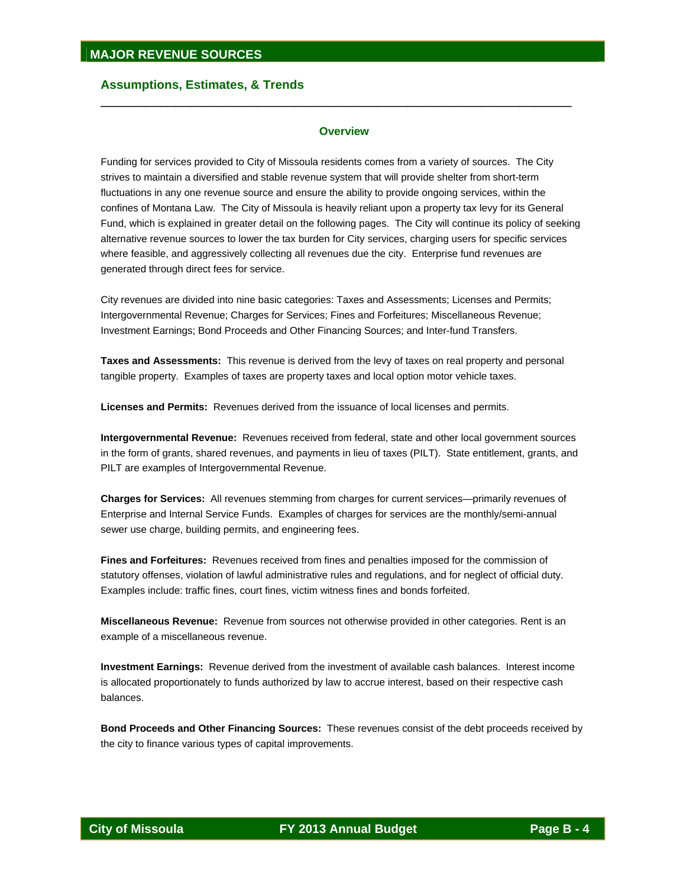#### **Overview**

\_\_\_\_\_\_\_\_\_\_\_\_\_\_\_\_\_\_\_\_\_\_\_\_\_\_\_\_\_\_\_\_\_\_\_\_\_\_\_\_\_\_\_\_\_\_\_\_\_\_\_\_\_\_\_\_\_\_\_\_\_\_\_

Funding for services provided to City of Missoula residents comes from a variety of sources. The City strives to maintain a diversified and stable revenue system that will provide shelter from short-term fluctuations in any one revenue source and ensure the ability to provide ongoing services, within the confines of Montana Law. The City of Missoula is heavily reliant upon a property tax levy for its General Fund, which is explained in greater detail on the following pages. The City will continue its policy of seeking alternative revenue sources to lower the tax burden for City services, charging users for specific services where feasible, and aggressively collecting all revenues due the city. Enterprise fund revenues are generated through direct fees for service.

City revenues are divided into nine basic categories: Taxes and Assessments; Licenses and Permits; Intergovernmental Revenue; Charges for Services; Fines and Forfeitures; Miscellaneous Revenue; Investment Earnings; Bond Proceeds and Other Financing Sources; and Inter-fund Transfers.

**Taxes and Assessments:** This revenue is derived from the levy of taxes on real property and personal tangible property. Examples of taxes are property taxes and local option motor vehicle taxes.

**Licenses and Permits:** Revenues derived from the issuance of local licenses and permits.

**Intergovernmental Revenue:** Revenues received from federal, state and other local government sources in the form of grants, shared revenues, and payments in lieu of taxes (PILT). State entitlement, grants, and PILT are examples of Intergovernmental Revenue.

**Charges for Services:** All revenues stemming from charges for current services—primarily revenues of Enterprise and Internal Service Funds.Examples of charges for services are the monthly/semi-annual sewer use charge, building permits, and engineering fees.

**Fines and Forfeitures:** Revenues received from fines and penalties imposed for the commission of statutory offenses, violation of lawful administrative rules and regulations, and for neglect of official duty. Examples include: traffic fines, court fines, victim witness fines and bonds forfeited.

**Miscellaneous Revenue:** Revenue from sources not otherwise provided in other categories. Rent is an example of a miscellaneous revenue.

**Investment Earnings:** Revenue derived from the investment of available cash balances. Interest income is allocated proportionately to funds authorized by law to accrue interest, based on their respective cash balances.

**Bond Proceeds and Other Financing Sources:** These revenues consist of the debt proceeds received by the city to finance various types of capital improvements.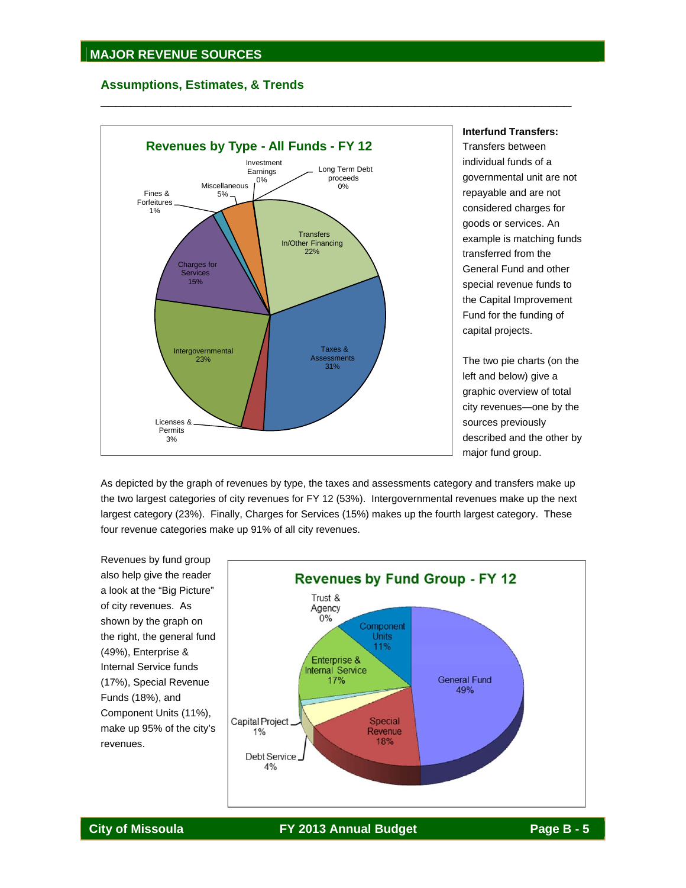

**Interfund Transfers:** 

Transfers between individual funds of a governmental unit are not repayable and are not considered charges for goods or services. An example is matching funds transferred from the General Fund and other special revenue funds to the Capital Improvement Fund for the funding of capital projects.

The two pie charts (on the left and below) give a graphic overview of total city revenues—one by the sources previously described and the other by major fund group.

As depicted by the graph of revenues by type, the taxes and assessments category and transfers make up the two largest categories of city revenues for FY 12 (53%). Intergovernmental revenues make up the next largest category (23%). Finally, Charges for Services (15%) makes up the fourth largest category. These four revenue categories make up 91% of all city revenues.

\_\_\_\_\_\_\_\_\_\_\_\_\_\_\_\_\_\_\_\_\_\_\_\_\_\_\_\_\_\_\_\_\_\_\_\_\_\_\_\_\_\_\_\_\_\_\_\_\_\_\_\_\_\_\_\_\_\_\_\_\_\_\_

Revenues by fund group also help give the reader a look at the "Big Picture" of city revenues. As shown by the graph on the right, the general fund (49%), Enterprise & Internal Service funds (17%), Special Revenue Funds (18%), and Component Units (11%), make up 95% of the city's revenues.

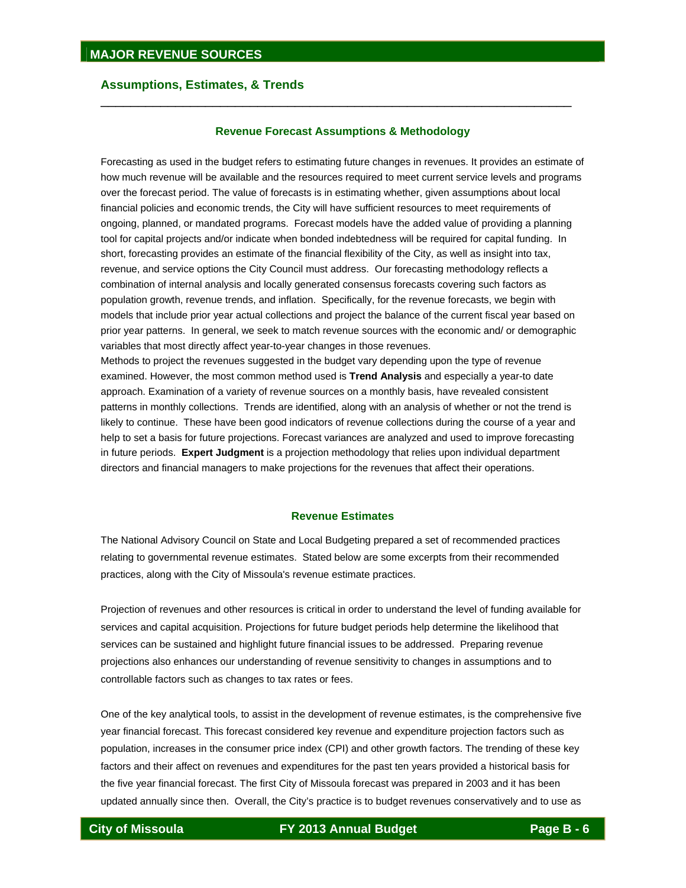#### **Revenue Forecast Assumptions & Methodology**

\_\_\_\_\_\_\_\_\_\_\_\_\_\_\_\_\_\_\_\_\_\_\_\_\_\_\_\_\_\_\_\_\_\_\_\_\_\_\_\_\_\_\_\_\_\_\_\_\_\_\_\_\_\_\_\_\_\_\_\_\_\_\_

Forecasting as used in the budget refers to estimating future changes in revenues. It provides an estimate of how much revenue will be available and the resources required to meet current service levels and programs over the forecast period. The value of forecasts is in estimating whether, given assumptions about local financial policies and economic trends, the City will have sufficient resources to meet requirements of ongoing, planned, or mandated programs. Forecast models have the added value of providing a planning tool for capital projects and/or indicate when bonded indebtedness will be required for capital funding. In short, forecasting provides an estimate of the financial flexibility of the City, as well as insight into tax, revenue, and service options the City Council must address. Our forecasting methodology reflects a combination of internal analysis and locally generated consensus forecasts covering such factors as population growth, revenue trends, and inflation. Specifically, for the revenue forecasts, we begin with models that include prior year actual collections and project the balance of the current fiscal year based on prior year patterns. In general, we seek to match revenue sources with the economic and/ or demographic variables that most directly affect year-to-year changes in those revenues.

Methods to project the revenues suggested in the budget vary depending upon the type of revenue examined. However, the most common method used is **Trend Analysis** and especially a year-to date approach. Examination of a variety of revenue sources on a monthly basis, have revealed consistent patterns in monthly collections. Trends are identified, along with an analysis of whether or not the trend is likely to continue. These have been good indicators of revenue collections during the course of a year and help to set a basis for future projections. Forecast variances are analyzed and used to improve forecasting in future periods. **Expert Judgment** is a projection methodology that relies upon individual department directors and financial managers to make projections for the revenues that affect their operations.

#### **Revenue Estimates**

The National Advisory Council on State and Local Budgeting prepared a set of recommended practices relating to governmental revenue estimates. Stated below are some excerpts from their recommended practices, along with the City of Missoula's revenue estimate practices.

Projection of revenues and other resources is critical in order to understand the level of funding available for services and capital acquisition. Projections for future budget periods help determine the likelihood that services can be sustained and highlight future financial issues to be addressed. Preparing revenue projections also enhances our understanding of revenue sensitivity to changes in assumptions and to controllable factors such as changes to tax rates or fees.

One of the key analytical tools, to assist in the development of revenue estimates, is the comprehensive five year financial forecast. This forecast considered key revenue and expenditure projection factors such as population, increases in the consumer price index (CPI) and other growth factors. The trending of these key factors and their affect on revenues and expenditures for the past ten years provided a historical basis for the five year financial forecast. The first City of Missoula forecast was prepared in 2003 and it has been updated annually since then. Overall, the City's practice is to budget revenues conservatively and to use as

**City of Missoula FY 2013 Annual Budget Page B - 6**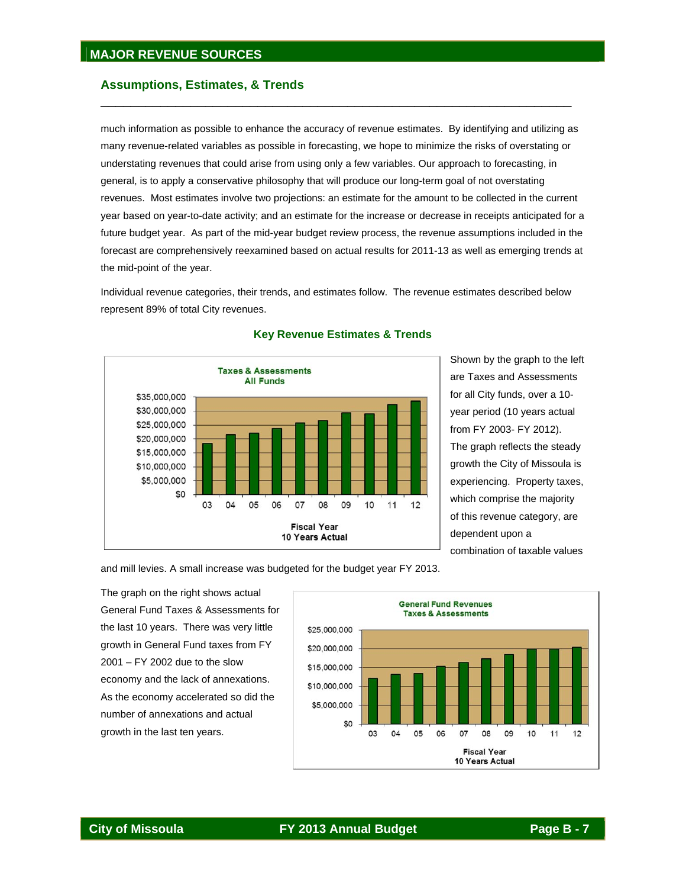much information as possible to enhance the accuracy of revenue estimates. By identifying and utilizing as many revenue-related variables as possible in forecasting, we hope to minimize the risks of overstating or understating revenues that could arise from using only a few variables. Our approach to forecasting, in general, is to apply a conservative philosophy that will produce our long-term goal of not overstating revenues. Most estimates involve two projections: an estimate for the amount to be collected in the current year based on year-to-date activity; and an estimate for the increase or decrease in receipts anticipated for a future budget year. As part of the mid-year budget review process, the revenue assumptions included in the forecast are comprehensively reexamined based on actual results for 2011-13 as well as emerging trends at the mid-point of the year.

\_\_\_\_\_\_\_\_\_\_\_\_\_\_\_\_\_\_\_\_\_\_\_\_\_\_\_\_\_\_\_\_\_\_\_\_\_\_\_\_\_\_\_\_\_\_\_\_\_\_\_\_\_\_\_\_\_\_\_\_\_\_\_

Individual revenue categories, their trends, and estimates follow. The revenue estimates described below represent 89% of total City revenues.



## **Key Revenue Estimates & Trends**

Shown by the graph to the left are Taxes and Assessments for all City funds, over a 10 year period (10 years actual from FY 2003- FY 2012). The graph reflects the steady growth the City of Missoula is experiencing. Property taxes, which comprise the majority of this revenue category, are dependent upon a combination of taxable values

and mill levies. A small increase was budgeted for the budget year FY 2013.

The graph on the right shows actual General Fund Taxes & Assessments for the last 10 years. There was very little growth in General Fund taxes from FY 2001 – FY 2002 due to the slow economy and the lack of annexations. As the economy accelerated so did the number of annexations and actual growth in the last ten years.

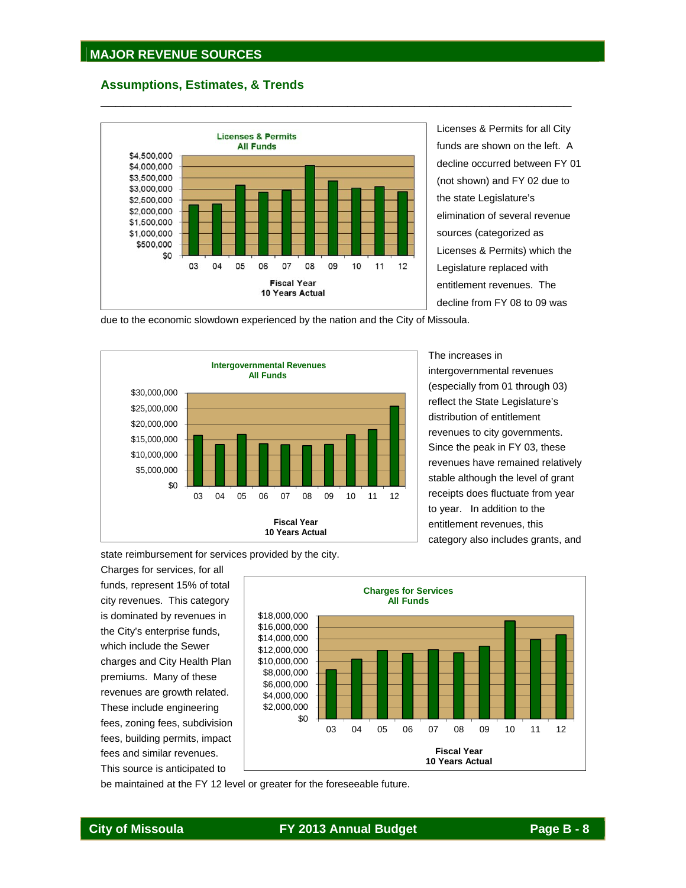

\_\_\_\_\_\_\_\_\_\_\_\_\_\_\_\_\_\_\_\_\_\_\_\_\_\_\_\_\_\_\_\_\_\_\_\_\_\_\_\_\_\_\_\_\_\_\_\_\_\_\_\_\_\_\_\_\_\_\_\_\_\_\_

Licenses & Permits for all City funds are shown on the left. A decline occurred between FY 01 (not shown) and FY 02 due to the state Legislature's elimination of several revenue sources (categorized as Licenses & Permits) which the Legislature replaced with entitlement revenues. The decline from FY 08 to 09 was

due to the economic slowdown experienced by the nation and the City of Missoula.



The increases in intergovernmental revenues (especially from 01 through 03) reflect the State Legislature's distribution of entitlement revenues to city governments. Since the peak in FY 03, these revenues have remained relatively stable although the level of grant receipts does fluctuate from year to year. In addition to the entitlement revenues, this category also includes grants, and

state reimbursement for services provided by the city.

Charges for services, for all funds, represent 15% of total city revenues. This category is dominated by revenues in the City's enterprise funds, which include the Sewer charges and City Health Plan premiums. Many of these revenues are growth related. These include engineering fees, zoning fees, subdivision fees, building permits, impact fees and similar revenues. This source is anticipated to



be maintained at the FY 12 level or greater for the foreseeable future.